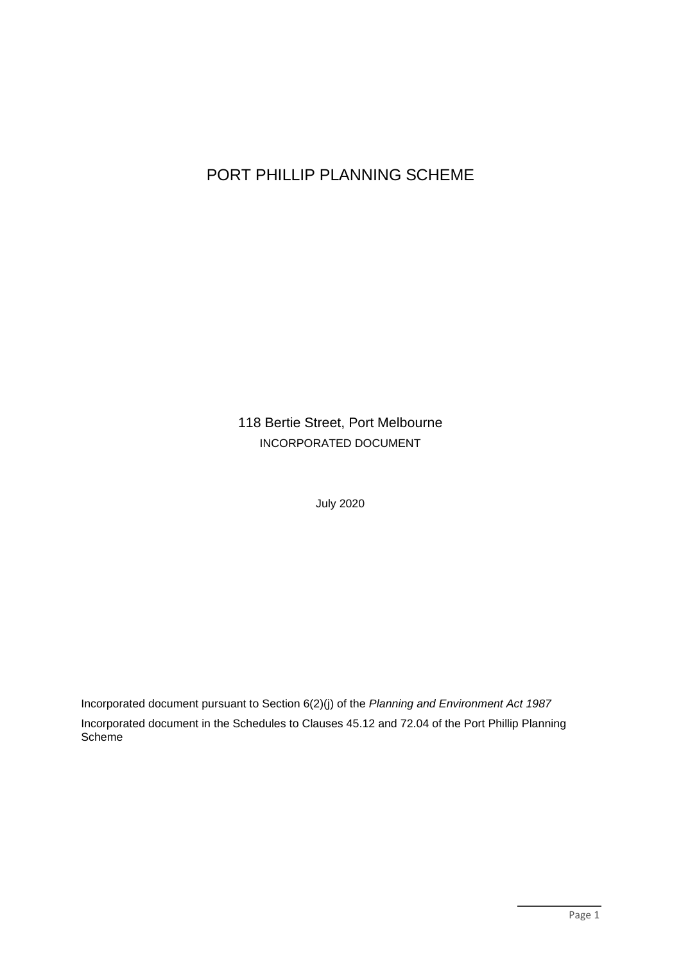# PORT PHILLIP PLANNING SCHEME

118 Bertie Street, Port Melbourne INCORPORATED DOCUMENT

July 2020

Incorporated document pursuant to Section 6(2)(j) of the *Planning and Environment Act 1987* Incorporated document in the Schedules to Clauses 45.12 and 72.04 of the Port Phillip Planning Scheme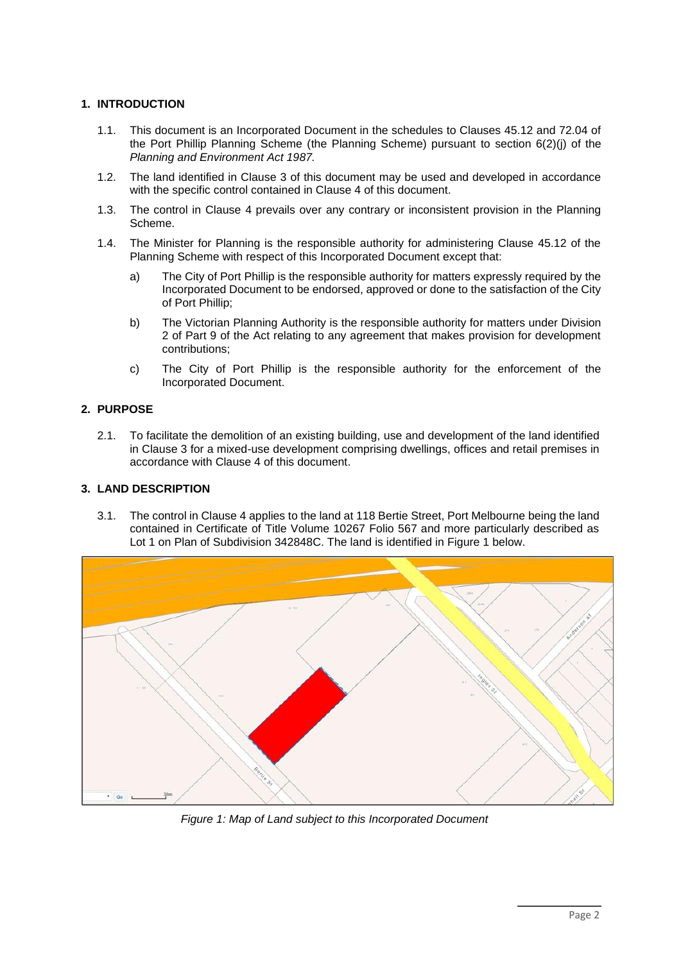# **1. INTRODUCTION**

- 1.1. This document is an Incorporated Document in the schedules to Clauses 45.12 and 72.04 of the Port Phillip Planning Scheme (the Planning Scheme) pursuant to section 6(2)(j) of the *Planning and Environment Act 1987.*
- 1.2. The land identified in Clause 3 of this document may be used and developed in accordance with the specific control contained in Clause 4 of this document.
- 1.3. The control in Clause 4 prevails over any contrary or inconsistent provision in the Planning Scheme.
- 1.4. The Minister for Planning is the responsible authority for administering Clause 45.12 of the Planning Scheme with respect of this Incorporated Document except that:
	- a) The City of Port Phillip is the responsible authority for matters expressly required by the Incorporated Document to be endorsed, approved or done to the satisfaction of the City of Port Phillip;
	- b) The Victorian Planning Authority is the responsible authority for matters under Division 2 of Part 9 of the Act relating to any agreement that makes provision for development contributions;
	- c) The City of Port Phillip is the responsible authority for the enforcement of the Incorporated Document.

# **2. PURPOSE**

2.1. To facilitate the demolition of an existing building, use and development of the land identified in Clause 3 for a mixed-use development comprising dwellings, offices and retail premises in accordance with Clause 4 of this document.

# **3. LAND DESCRIPTION**

3.1. The control in Clause 4 applies to the land at 118 Bertie Street, Port Melbourne being the land contained in Certificate of Title Volume 10267 Folio 567 and more particularly described as Lot 1 on Plan of Subdivision 342848C. The land is identified in Figure 1 below.



*Figure 1: Map of Land subject to this Incorporated Document*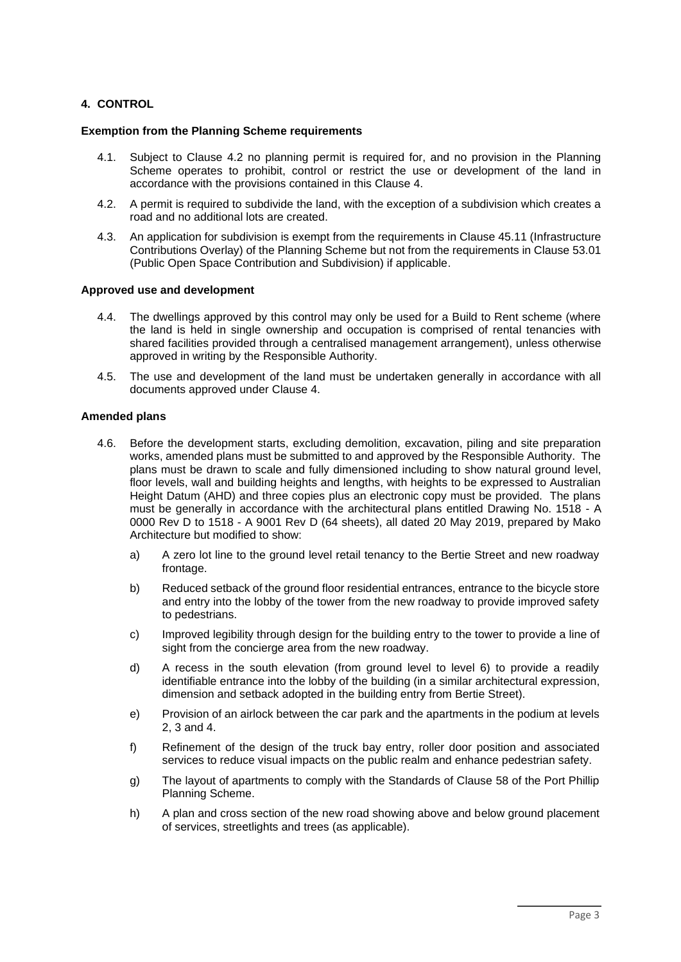# **4. CONTROL**

#### **Exemption from the Planning Scheme requirements**

- 4.1. Subject to Clause 4.2 no planning permit is required for, and no provision in the Planning Scheme operates to prohibit, control or restrict the use or development of the land in accordance with the provisions contained in this Clause 4.
- 4.2. A permit is required to subdivide the land, with the exception of a subdivision which creates a road and no additional lots are created.
- 4.3. An application for subdivision is exempt from the requirements in Clause 45.11 (Infrastructure Contributions Overlay) of the Planning Scheme but not from the requirements in Clause 53.01 (Public Open Space Contribution and Subdivision) if applicable.

## **Approved use and development**

- 4.4. The dwellings approved by this control may only be used for a Build to Rent scheme (where the land is held in single ownership and occupation is comprised of rental tenancies with shared facilities provided through a centralised management arrangement), unless otherwise approved in writing by the Responsible Authority.
- 4.5. The use and development of the land must be undertaken generally in accordance with all documents approved under Clause 4.

## **Amended plans**

- 4.6. Before the development starts, excluding demolition, excavation, piling and site preparation works, amended plans must be submitted to and approved by the Responsible Authority. The plans must be drawn to scale and fully dimensioned including to show natural ground level, floor levels, wall and building heights and lengths, with heights to be expressed to Australian Height Datum (AHD) and three copies plus an electronic copy must be provided. The plans must be generally in accordance with the architectural plans entitled Drawing No. 1518 - A 0000 Rev D to 1518 - A 9001 Rev D (64 sheets), all dated 20 May 2019, prepared by Mako Architecture but modified to show:
	- a) A zero lot line to the ground level retail tenancy to the Bertie Street and new roadway frontage.
	- b) Reduced setback of the ground floor residential entrances, entrance to the bicycle store and entry into the lobby of the tower from the new roadway to provide improved safety to pedestrians.
	- c) Improved legibility through design for the building entry to the tower to provide a line of sight from the concierge area from the new roadway.
	- d) A recess in the south elevation (from ground level to level 6) to provide a readily identifiable entrance into the lobby of the building (in a similar architectural expression, dimension and setback adopted in the building entry from Bertie Street).
	- e) Provision of an airlock between the car park and the apartments in the podium at levels 2, 3 and 4.
	- f) Refinement of the design of the truck bay entry, roller door position and associated services to reduce visual impacts on the public realm and enhance pedestrian safety.
	- g) The layout of apartments to comply with the Standards of Clause 58 of the Port Phillip Planning Scheme.
	- h) A plan and cross section of the new road showing above and below ground placement of services, streetlights and trees (as applicable).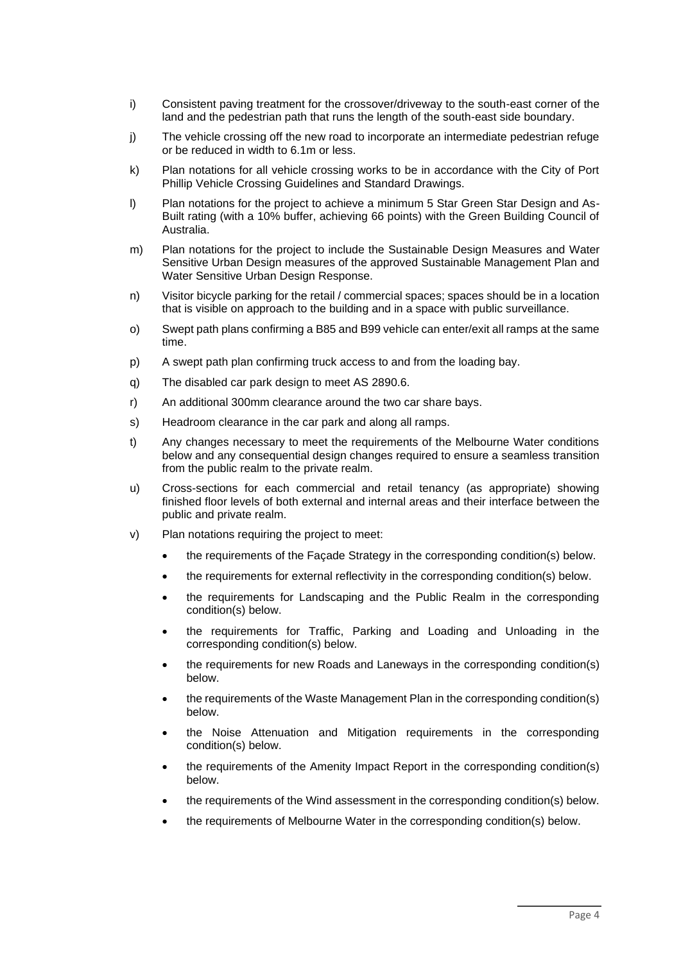- i) Consistent paving treatment for the crossover/driveway to the south-east corner of the land and the pedestrian path that runs the length of the south-east side boundary.
- j) The vehicle crossing off the new road to incorporate an intermediate pedestrian refuge or be reduced in width to 6.1m or less.
- k) Plan notations for all vehicle crossing works to be in accordance with the City of Port Phillip Vehicle Crossing Guidelines and Standard Drawings.
- l) Plan notations for the project to achieve a minimum 5 Star Green Star Design and As-Built rating (with a 10% buffer, achieving 66 points) with the Green Building Council of Australia.
- m) Plan notations for the project to include the Sustainable Design Measures and Water Sensitive Urban Design measures of the approved Sustainable Management Plan and Water Sensitive Urban Design Response.
- n) Visitor bicycle parking for the retail / commercial spaces; spaces should be in a location that is visible on approach to the building and in a space with public surveillance.
- o) Swept path plans confirming a B85 and B99 vehicle can enter/exit all ramps at the same time.
- p) A swept path plan confirming truck access to and from the loading bay.
- q) The disabled car park design to meet AS 2890.6.
- r) An additional 300mm clearance around the two car share bays.
- s) Headroom clearance in the car park and along all ramps.
- t) Any changes necessary to meet the requirements of the Melbourne Water conditions below and any consequential design changes required to ensure a seamless transition from the public realm to the private realm.
- u) Cross-sections for each commercial and retail tenancy (as appropriate) showing finished floor levels of both external and internal areas and their interface between the public and private realm.
- v) Plan notations requiring the project to meet:
	- the requirements of the Façade Strategy in the corresponding condition(s) below.
	- the requirements for external reflectivity in the corresponding condition(s) below.
	- the requirements for Landscaping and the Public Realm in the corresponding condition(s) below.
	- the requirements for Traffic, Parking and Loading and Unloading in the corresponding condition(s) below.
	- the requirements for new Roads and Laneways in the corresponding condition(s) below.
	- the requirements of the Waste Management Plan in the corresponding condition(s) below.
	- the Noise Attenuation and Mitigation requirements in the corresponding condition(s) below.
	- the requirements of the Amenity Impact Report in the corresponding condition(s) below.
	- the requirements of the Wind assessment in the corresponding condition(s) below.
	- the requirements of Melbourne Water in the corresponding condition(s) below.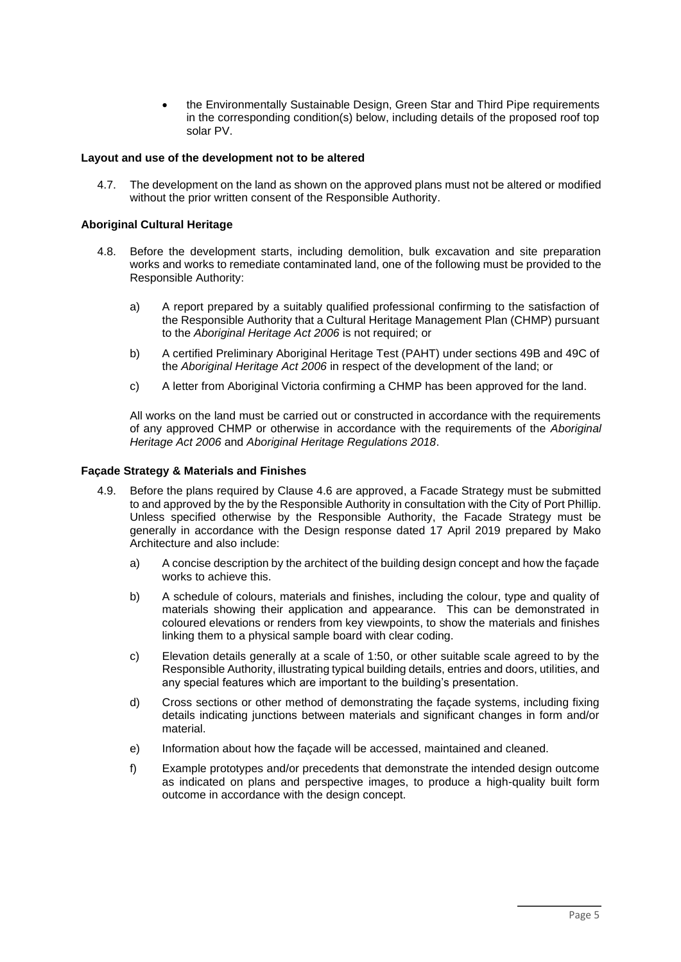• the Environmentally Sustainable Design, Green Star and Third Pipe requirements in the corresponding condition(s) below, including details of the proposed roof top solar PV.

# **Layout and use of the development not to be altered**

4.7. The development on the land as shown on the approved plans must not be altered or modified without the prior written consent of the Responsible Authority.

# **Aboriginal Cultural Heritage**

- 4.8. Before the development starts, including demolition, bulk excavation and site preparation works and works to remediate contaminated land, one of the following must be provided to the Responsible Authority:
	- a) A report prepared by a suitably qualified professional confirming to the satisfaction of the Responsible Authority that a Cultural Heritage Management Plan (CHMP) pursuant to the *Aboriginal Heritage Act 2006* is not required; or
	- b) A certified Preliminary Aboriginal Heritage Test (PAHT) under sections 49B and 49C of the *Aboriginal Heritage Act 2006* in respect of the development of the land; or
	- c) A letter from Aboriginal Victoria confirming a CHMP has been approved for the land.

All works on the land must be carried out or constructed in accordance with the requirements of any approved CHMP or otherwise in accordance with the requirements of the *Aboriginal Heritage Act 2006* and *Aboriginal Heritage Regulations 2018*.

#### **Façade Strategy & Materials and Finishes**

- 4.9. Before the plans required by Clause 4.6 are approved, a Facade Strategy must be submitted to and approved by the by the Responsible Authority in consultation with the City of Port Phillip. Unless specified otherwise by the Responsible Authority, the Facade Strategy must be generally in accordance with the Design response dated 17 April 2019 prepared by Mako Architecture and also include:
	- a) A concise description by the architect of the building design concept and how the façade works to achieve this.
	- b) A schedule of colours, materials and finishes, including the colour, type and quality of materials showing their application and appearance. This can be demonstrated in coloured elevations or renders from key viewpoints, to show the materials and finishes linking them to a physical sample board with clear coding.
	- c) Elevation details generally at a scale of 1:50, or other suitable scale agreed to by the Responsible Authority, illustrating typical building details, entries and doors, utilities, and any special features which are important to the building's presentation.
	- d) Cross sections or other method of demonstrating the façade systems, including fixing details indicating junctions between materials and significant changes in form and/or material.
	- e) Information about how the façade will be accessed, maintained and cleaned.
	- f) Example prototypes and/or precedents that demonstrate the intended design outcome as indicated on plans and perspective images, to produce a high-quality built form outcome in accordance with the design concept.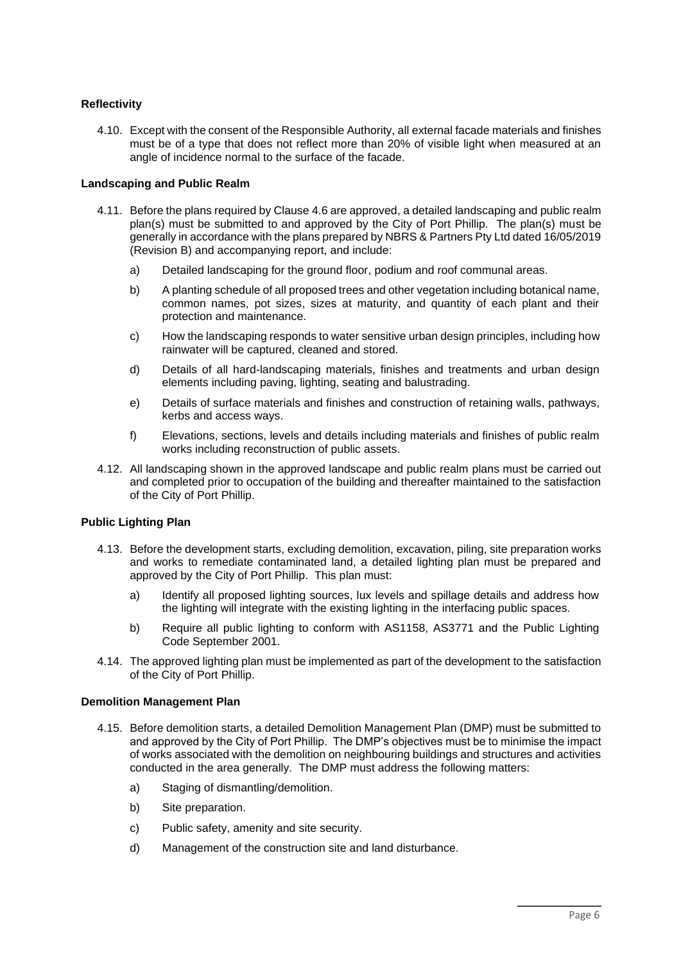# **Reflectivity**

4.10. Except with the consent of the Responsible Authority, all external facade materials and finishes must be of a type that does not reflect more than 20% of visible light when measured at an angle of incidence normal to the surface of the facade.

# **Landscaping and Public Realm**

- 4.11. Before the plans required by Clause 4.6 are approved, a detailed landscaping and public realm plan(s) must be submitted to and approved by the City of Port Phillip. The plan(s) must be generally in accordance with the plans prepared by NBRS & Partners Pty Ltd dated 16/05/2019 (Revision B) and accompanying report, and include:
	- a) Detailed landscaping for the ground floor, podium and roof communal areas.
	- b) A planting schedule of all proposed trees and other vegetation including botanical name, common names, pot sizes, sizes at maturity, and quantity of each plant and their protection and maintenance.
	- c) How the landscaping responds to water sensitive urban design principles, including how rainwater will be captured, cleaned and stored.
	- d) Details of all hard-landscaping materials, finishes and treatments and urban design elements including paving, lighting, seating and balustrading.
	- e) Details of surface materials and finishes and construction of retaining walls, pathways, kerbs and access ways.
	- f) Elevations, sections, levels and details including materials and finishes of public realm works including reconstruction of public assets.
- 4.12. All landscaping shown in the approved landscape and public realm plans must be carried out and completed prior to occupation of the building and thereafter maintained to the satisfaction of the City of Port Phillip.

# **Public Lighting Plan**

- 4.13. Before the development starts, excluding demolition, excavation, piling, site preparation works and works to remediate contaminated land, a detailed lighting plan must be prepared and approved by the City of Port Phillip. This plan must:
	- a) Identify all proposed lighting sources, lux levels and spillage details and address how the lighting will integrate with the existing lighting in the interfacing public spaces.
	- b) Require all public lighting to conform with AS1158, AS3771 and the Public Lighting Code September 2001.
- 4.14. The approved lighting plan must be implemented as part of the development to the satisfaction of the City of Port Phillip.

#### **Demolition Management Plan**

- 4.15. Before demolition starts, a detailed Demolition Management Plan (DMP) must be submitted to and approved by the City of Port Phillip. The DMP's objectives must be to minimise the impact of works associated with the demolition on neighbouring buildings and structures and activities conducted in the area generally. The DMP must address the following matters:
	- a) Staging of dismantling/demolition.
	- b) Site preparation.
	- c) Public safety, amenity and site security.
	- d) Management of the construction site and land disturbance.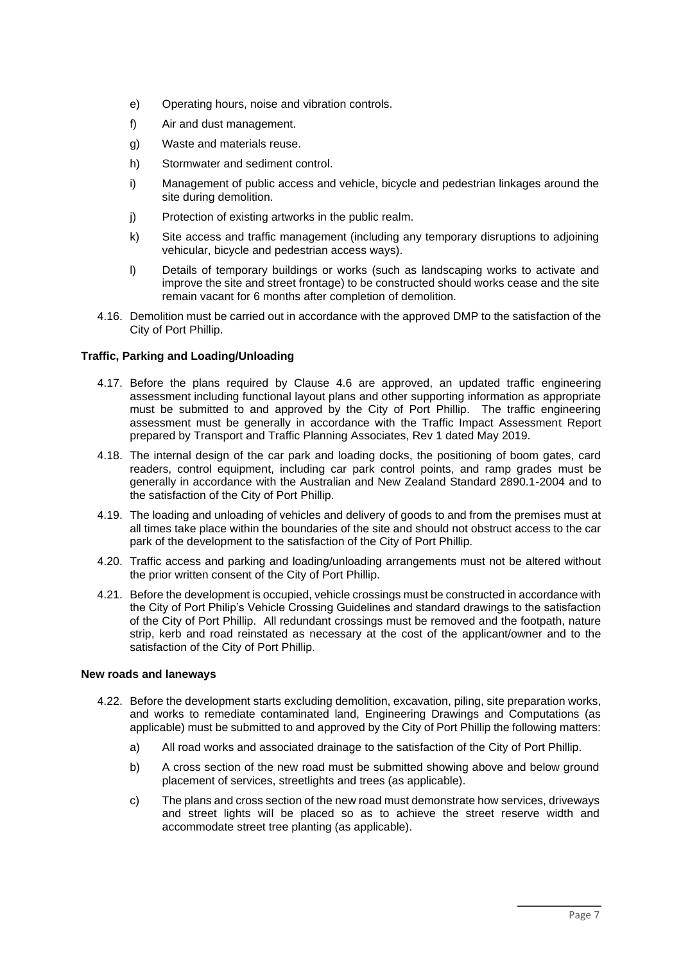- e) Operating hours, noise and vibration controls.
- f) Air and dust management.
- g) Waste and materials reuse.
- h) Stormwater and sediment control.
- i) Management of public access and vehicle, bicycle and pedestrian linkages around the site during demolition.
- j) Protection of existing artworks in the public realm.
- k) Site access and traffic management (including any temporary disruptions to adjoining vehicular, bicycle and pedestrian access ways).
- l) Details of temporary buildings or works (such as landscaping works to activate and improve the site and street frontage) to be constructed should works cease and the site remain vacant for 6 months after completion of demolition.
- 4.16. Demolition must be carried out in accordance with the approved DMP to the satisfaction of the City of Port Phillip.

## **Traffic, Parking and Loading/Unloading**

- 4.17. Before the plans required by Clause 4.6 are approved, an updated traffic engineering assessment including functional layout plans and other supporting information as appropriate must be submitted to and approved by the City of Port Phillip. The traffic engineering assessment must be generally in accordance with the Traffic Impact Assessment Report prepared by Transport and Traffic Planning Associates, Rev 1 dated May 2019.
- 4.18. The internal design of the car park and loading docks, the positioning of boom gates, card readers, control equipment, including car park control points, and ramp grades must be generally in accordance with the Australian and New Zealand Standard 2890.1-2004 and to the satisfaction of the City of Port Phillip.
- 4.19. The loading and unloading of vehicles and delivery of goods to and from the premises must at all times take place within the boundaries of the site and should not obstruct access to the car park of the development to the satisfaction of the City of Port Phillip.
- 4.20. Traffic access and parking and loading/unloading arrangements must not be altered without the prior written consent of the City of Port Phillip.
- 4.21. Before the development is occupied, vehicle crossings must be constructed in accordance with the City of Port Philip's Vehicle Crossing Guidelines and standard drawings to the satisfaction of the City of Port Phillip. All redundant crossings must be removed and the footpath, nature strip, kerb and road reinstated as necessary at the cost of the applicant/owner and to the satisfaction of the City of Port Phillip.

#### **New roads and laneways**

- 4.22. Before the development starts excluding demolition, excavation, piling, site preparation works, and works to remediate contaminated land, Engineering Drawings and Computations (as applicable) must be submitted to and approved by the City of Port Phillip the following matters:
	- a) All road works and associated drainage to the satisfaction of the City of Port Phillip.
	- b) A cross section of the new road must be submitted showing above and below ground placement of services, streetlights and trees (as applicable).
	- c) The plans and cross section of the new road must demonstrate how services, driveways and street lights will be placed so as to achieve the street reserve width and accommodate street tree planting (as applicable).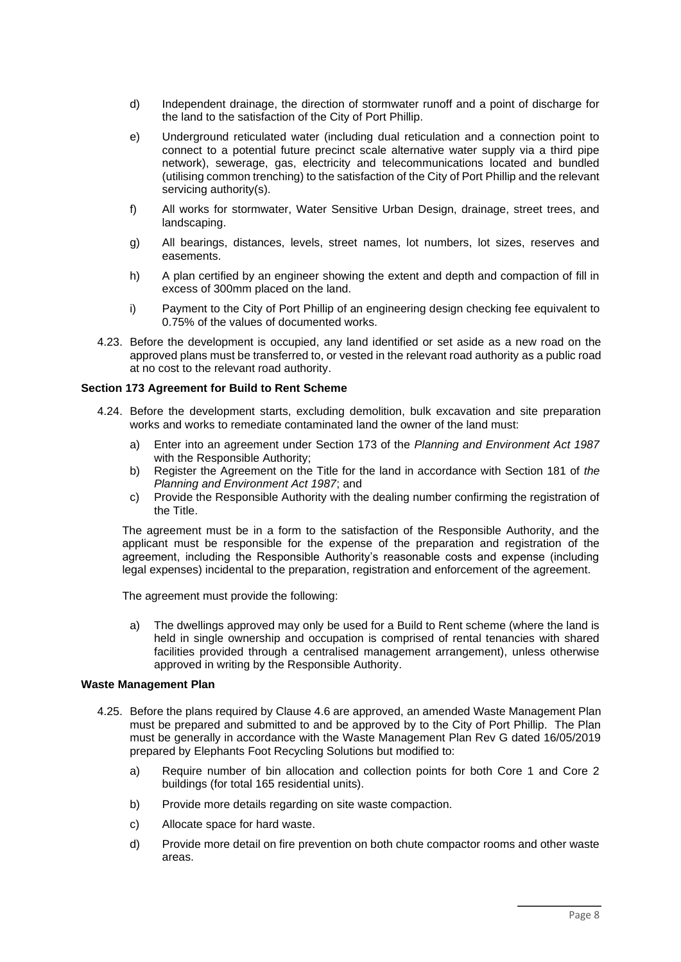- d) Independent drainage, the direction of stormwater runoff and a point of discharge for the land to the satisfaction of the City of Port Phillip.
- e) Underground reticulated water (including dual reticulation and a connection point to connect to a potential future precinct scale alternative water supply via a third pipe network), sewerage, gas, electricity and telecommunications located and bundled (utilising common trenching) to the satisfaction of the City of Port Phillip and the relevant servicing authority(s).
- f) All works for stormwater, Water Sensitive Urban Design, drainage, street trees, and landscaping.
- g) All bearings, distances, levels, street names, lot numbers, lot sizes, reserves and easements.
- h) A plan certified by an engineer showing the extent and depth and compaction of fill in excess of 300mm placed on the land.
- i) Payment to the City of Port Phillip of an engineering design checking fee equivalent to 0.75% of the values of documented works.
- 4.23. Before the development is occupied, any land identified or set aside as a new road on the approved plans must be transferred to, or vested in the relevant road authority as a public road at no cost to the relevant road authority.

#### **Section 173 Agreement for Build to Rent Scheme**

- 4.24. Before the development starts, excluding demolition, bulk excavation and site preparation works and works to remediate contaminated land the owner of the land must:
	- a) Enter into an agreement under Section 173 of the *Planning and Environment Act 1987* with the Responsible Authority;
	- b) Register the Agreement on the Title for the land in accordance with Section 181 of *the Planning and Environment Act 1987*; and
	- c) Provide the Responsible Authority with the dealing number confirming the registration of the Title.

The agreement must be in a form to the satisfaction of the Responsible Authority, and the applicant must be responsible for the expense of the preparation and registration of the agreement, including the Responsible Authority's reasonable costs and expense (including legal expenses) incidental to the preparation, registration and enforcement of the agreement.

The agreement must provide the following:

a) The dwellings approved may only be used for a Build to Rent scheme (where the land is held in single ownership and occupation is comprised of rental tenancies with shared facilities provided through a centralised management arrangement), unless otherwise approved in writing by the Responsible Authority.

#### **Waste Management Plan**

- 4.25. Before the plans required by Clause 4.6 are approved, an amended Waste Management Plan must be prepared and submitted to and be approved by to the City of Port Phillip. The Plan must be generally in accordance with the Waste Management Plan Rev G dated 16/05/2019 prepared by Elephants Foot Recycling Solutions but modified to:
	- a) Require number of bin allocation and collection points for both Core 1 and Core 2 buildings (for total 165 residential units).
	- b) Provide more details regarding on site waste compaction.
	- c) Allocate space for hard waste.
	- d) Provide more detail on fire prevention on both chute compactor rooms and other waste areas.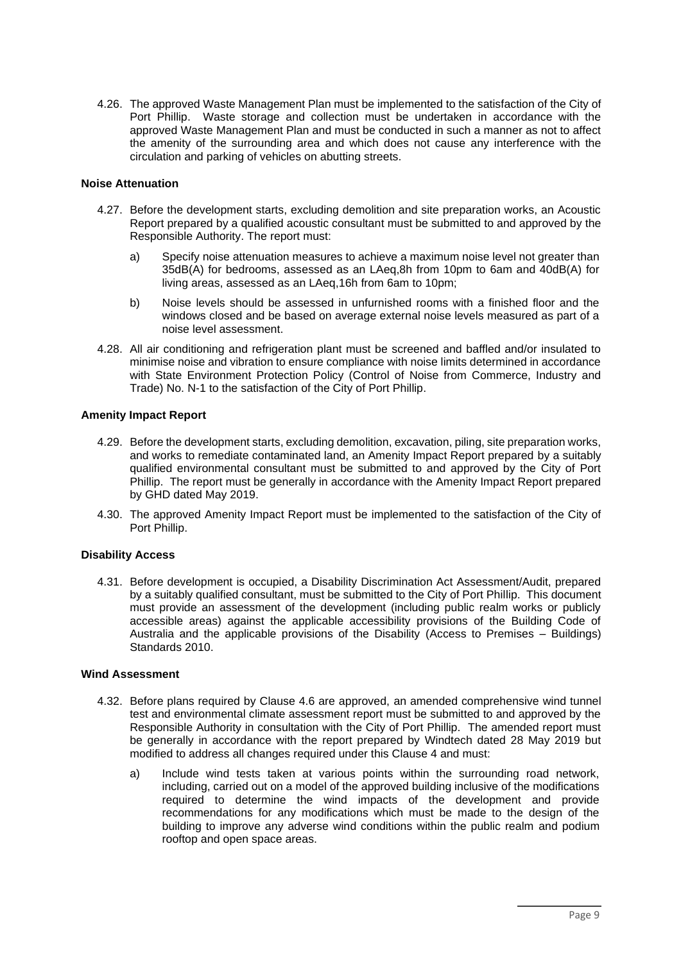4.26. The approved Waste Management Plan must be implemented to the satisfaction of the City of Port Phillip. Waste storage and collection must be undertaken in accordance with the approved Waste Management Plan and must be conducted in such a manner as not to affect the amenity of the surrounding area and which does not cause any interference with the circulation and parking of vehicles on abutting streets.

# **Noise Attenuation**

- 4.27. Before the development starts, excluding demolition and site preparation works, an Acoustic Report prepared by a qualified acoustic consultant must be submitted to and approved by the Responsible Authority. The report must:
	- a) Specify noise attenuation measures to achieve a maximum noise level not greater than 35dB(A) for bedrooms, assessed as an LAeq,8h from 10pm to 6am and 40dB(A) for living areas, assessed as an LAeq,16h from 6am to 10pm;
	- b) Noise levels should be assessed in unfurnished rooms with a finished floor and the windows closed and be based on average external noise levels measured as part of a noise level assessment.
- 4.28. All air conditioning and refrigeration plant must be screened and baffled and/or insulated to minimise noise and vibration to ensure compliance with noise limits determined in accordance with State Environment Protection Policy (Control of Noise from Commerce, Industry and Trade) No. N-1 to the satisfaction of the City of Port Phillip.

# **Amenity Impact Report**

- 4.29. Before the development starts, excluding demolition, excavation, piling, site preparation works, and works to remediate contaminated land, an Amenity Impact Report prepared by a suitably qualified environmental consultant must be submitted to and approved by the City of Port Phillip. The report must be generally in accordance with the Amenity Impact Report prepared by GHD dated May 2019.
- 4.30. The approved Amenity Impact Report must be implemented to the satisfaction of the City of Port Phillip.

#### **Disability Access**

4.31. Before development is occupied, a Disability Discrimination Act Assessment/Audit, prepared by a suitably qualified consultant, must be submitted to the City of Port Phillip. This document must provide an assessment of the development (including public realm works or publicly accessible areas) against the applicable accessibility provisions of the Building Code of Australia and the applicable provisions of the Disability (Access to Premises – Buildings) Standards 2010.

## **Wind Assessment**

- 4.32. Before plans required by Clause 4.6 are approved, an amended comprehensive wind tunnel test and environmental climate assessment report must be submitted to and approved by the Responsible Authority in consultation with the City of Port Phillip. The amended report must be generally in accordance with the report prepared by Windtech dated 28 May 2019 but modified to address all changes required under this Clause 4 and must:
	- a) Include wind tests taken at various points within the surrounding road network, including, carried out on a model of the approved building inclusive of the modifications required to determine the wind impacts of the development and provide recommendations for any modifications which must be made to the design of the building to improve any adverse wind conditions within the public realm and podium rooftop and open space areas.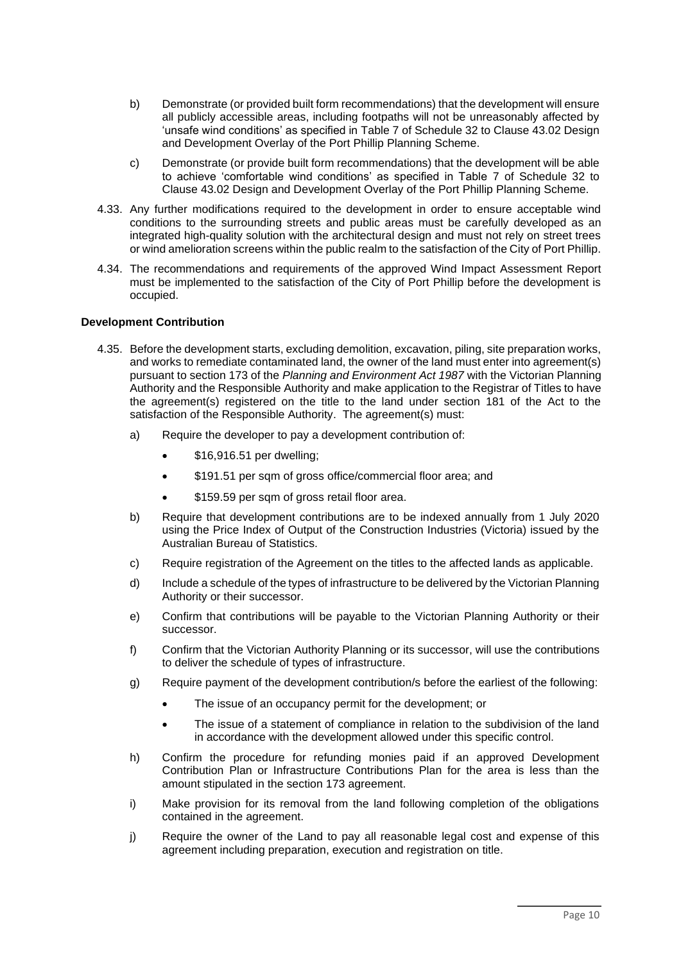- b) Demonstrate (or provided built form recommendations) that the development will ensure all publicly accessible areas, including footpaths will not be unreasonably affected by 'unsafe wind conditions' as specified in Table 7 of Schedule 32 to Clause 43.02 Design and Development Overlay of the Port Phillip Planning Scheme.
- c) Demonstrate (or provide built form recommendations) that the development will be able to achieve 'comfortable wind conditions' as specified in Table 7 of Schedule 32 to Clause 43.02 Design and Development Overlay of the Port Phillip Planning Scheme.
- 4.33. Any further modifications required to the development in order to ensure acceptable wind conditions to the surrounding streets and public areas must be carefully developed as an integrated high-quality solution with the architectural design and must not rely on street trees or wind amelioration screens within the public realm to the satisfaction of the City of Port Phillip.
- 4.34. The recommendations and requirements of the approved Wind Impact Assessment Report must be implemented to the satisfaction of the City of Port Phillip before the development is occupied.

## **Development Contribution**

- 4.35. Before the development starts, excluding demolition, excavation, piling, site preparation works, and works to remediate contaminated land, the owner of the land must enter into agreement(s) pursuant to section 173 of the *Planning and Environment Act 1987* with the Victorian Planning Authority and the Responsible Authority and make application to the Registrar of Titles to have the agreement(s) registered on the title to the land under section 181 of the Act to the satisfaction of the Responsible Authority. The agreement(s) must:
	- a) Require the developer to pay a development contribution of:
		- \$16,916.51 per dwelling;
		- \$191.51 per sqm of gross office/commercial floor area; and
		- \$159.59 per sqm of gross retail floor area.
	- b) Require that development contributions are to be indexed annually from 1 July 2020 using the Price Index of Output of the Construction Industries (Victoria) issued by the Australian Bureau of Statistics.
	- c) Require registration of the Agreement on the titles to the affected lands as applicable.
	- d) Include a schedule of the types of infrastructure to be delivered by the Victorian Planning Authority or their successor.
	- e) Confirm that contributions will be payable to the Victorian Planning Authority or their successor.
	- f) Confirm that the Victorian Authority Planning or its successor, will use the contributions to deliver the schedule of types of infrastructure.
	- g) Require payment of the development contribution/s before the earliest of the following:
		- The issue of an occupancy permit for the development; or
		- The issue of a statement of compliance in relation to the subdivision of the land in accordance with the development allowed under this specific control.
	- h) Confirm the procedure for refunding monies paid if an approved Development Contribution Plan or Infrastructure Contributions Plan for the area is less than the amount stipulated in the section 173 agreement.
	- i) Make provision for its removal from the land following completion of the obligations contained in the agreement.
	- j) Require the owner of the Land to pay all reasonable legal cost and expense of this agreement including preparation, execution and registration on title.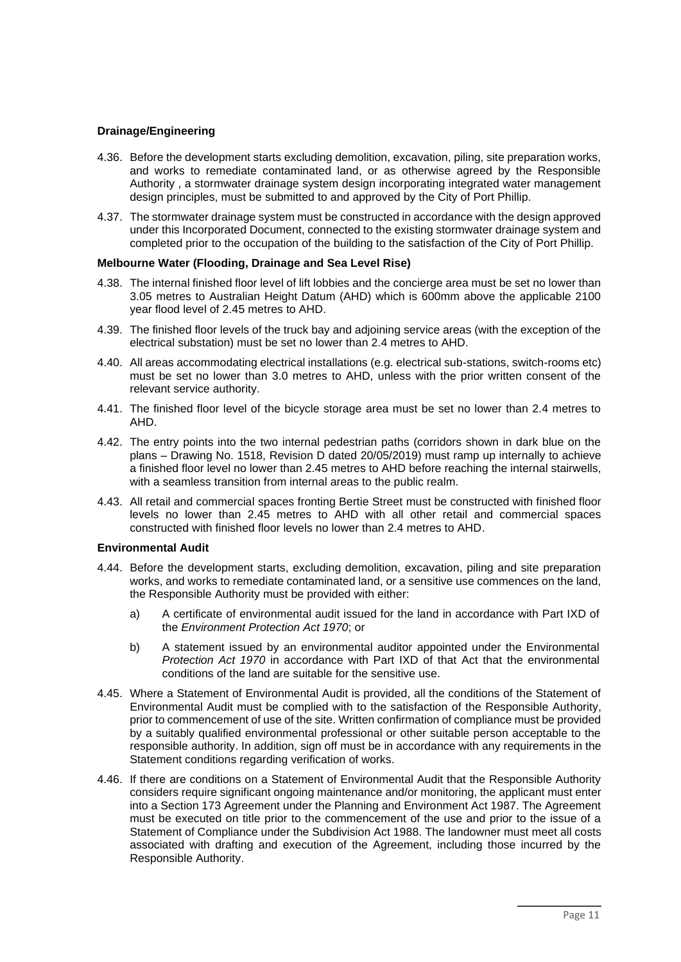#### **Drainage/Engineering**

- 4.36. Before the development starts excluding demolition, excavation, piling, site preparation works, and works to remediate contaminated land, or as otherwise agreed by the Responsible Authority , a stormwater drainage system design incorporating integrated water management design principles, must be submitted to and approved by the City of Port Phillip.
- 4.37. The stormwater drainage system must be constructed in accordance with the design approved under this Incorporated Document, connected to the existing stormwater drainage system and completed prior to the occupation of the building to the satisfaction of the City of Port Phillip.

## **Melbourne Water (Flooding, Drainage and Sea Level Rise)**

- 4.38. The internal finished floor level of lift lobbies and the concierge area must be set no lower than 3.05 metres to Australian Height Datum (AHD) which is 600mm above the applicable 2100 year flood level of 2.45 metres to AHD.
- 4.39. The finished floor levels of the truck bay and adjoining service areas (with the exception of the electrical substation) must be set no lower than 2.4 metres to AHD.
- 4.40. All areas accommodating electrical installations (e.g. electrical sub-stations, switch-rooms etc) must be set no lower than 3.0 metres to AHD, unless with the prior written consent of the relevant service authority.
- 4.41. The finished floor level of the bicycle storage area must be set no lower than 2.4 metres to AHD.
- 4.42. The entry points into the two internal pedestrian paths (corridors shown in dark blue on the plans – Drawing No. 1518, Revision D dated 20/05/2019) must ramp up internally to achieve a finished floor level no lower than 2.45 metres to AHD before reaching the internal stairwells, with a seamless transition from internal areas to the public realm.
- 4.43. All retail and commercial spaces fronting Bertie Street must be constructed with finished floor levels no lower than 2.45 metres to AHD with all other retail and commercial spaces constructed with finished floor levels no lower than 2.4 metres to AHD.

#### **Environmental Audit**

- 4.44. Before the development starts, excluding demolition, excavation, piling and site preparation works, and works to remediate contaminated land, or a sensitive use commences on the land, the Responsible Authority must be provided with either:
	- a) A certificate of environmental audit issued for the land in accordance with Part IXD of the *Environment Protection Act 1970*; or
	- b) A statement issued by an environmental auditor appointed under the Environmental *Protection Act 1970* in accordance with Part IXD of that Act that the environmental conditions of the land are suitable for the sensitive use.
- 4.45. Where a Statement of Environmental Audit is provided, all the conditions of the Statement of Environmental Audit must be complied with to the satisfaction of the Responsible Authority, prior to commencement of use of the site. Written confirmation of compliance must be provided by a suitably qualified environmental professional or other suitable person acceptable to the responsible authority. In addition, sign off must be in accordance with any requirements in the Statement conditions regarding verification of works.
- 4.46. If there are conditions on a Statement of Environmental Audit that the Responsible Authority considers require significant ongoing maintenance and/or monitoring, the applicant must enter into a Section 173 Agreement under the Planning and Environment Act 1987. The Agreement must be executed on title prior to the commencement of the use and prior to the issue of a Statement of Compliance under the Subdivision Act 1988. The landowner must meet all costs associated with drafting and execution of the Agreement, including those incurred by the Responsible Authority.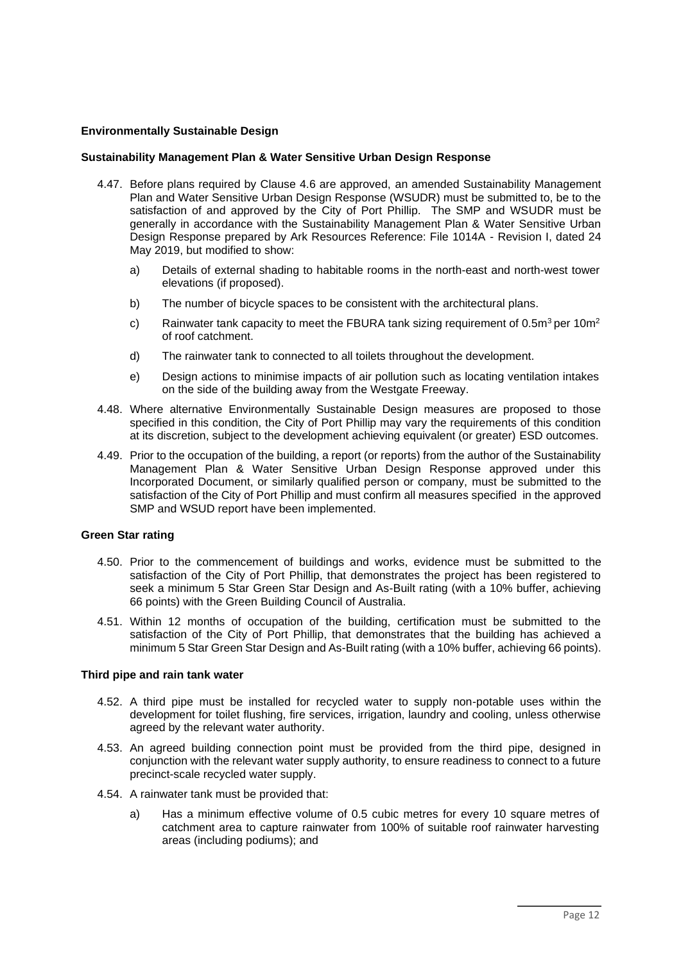#### **Environmentally Sustainable Design**

#### **Sustainability Management Plan & Water Sensitive Urban Design Response**

- 4.47. Before plans required by Clause 4.6 are approved, an amended Sustainability Management Plan and Water Sensitive Urban Design Response (WSUDR) must be submitted to, be to the satisfaction of and approved by the City of Port Phillip. The SMP and WSUDR must be generally in accordance with the Sustainability Management Plan & Water Sensitive Urban Design Response prepared by Ark Resources Reference: File 1014A - Revision I, dated 24 May 2019, but modified to show:
	- a) Details of external shading to habitable rooms in the north-east and north-west tower elevations (if proposed).
	- b) The number of bicycle spaces to be consistent with the architectural plans.
	- c) Rainwater tank capacity to meet the FBURA tank sizing requirement of  $0.5m^3$  per 10m<sup>2</sup> of roof catchment.
	- d) The rainwater tank to connected to all toilets throughout the development.
	- e) Design actions to minimise impacts of air pollution such as locating ventilation intakes on the side of the building away from the Westgate Freeway.
- 4.48. Where alternative Environmentally Sustainable Design measures are proposed to those specified in this condition, the City of Port Phillip may vary the requirements of this condition at its discretion, subject to the development achieving equivalent (or greater) ESD outcomes.
- 4.49. Prior to the occupation of the building, a report (or reports) from the author of the Sustainability Management Plan & Water Sensitive Urban Design Response approved under this Incorporated Document, or similarly qualified person or company, must be submitted to the satisfaction of the City of Port Phillip and must confirm all measures specified in the approved SMP and WSUD report have been implemented.

#### **Green Star rating**

- 4.50. Prior to the commencement of buildings and works, evidence must be submitted to the satisfaction of the City of Port Phillip, that demonstrates the project has been registered to seek a minimum 5 Star Green Star Design and As-Built rating (with a 10% buffer, achieving 66 points) with the Green Building Council of Australia.
- 4.51. Within 12 months of occupation of the building, certification must be submitted to the satisfaction of the City of Port Phillip, that demonstrates that the building has achieved a minimum 5 Star Green Star Design and As-Built rating (with a 10% buffer, achieving 66 points).

#### **Third pipe and rain tank water**

- 4.52. A third pipe must be installed for recycled water to supply non-potable uses within the development for toilet flushing, fire services, irrigation, laundry and cooling, unless otherwise agreed by the relevant water authority.
- 4.53. An agreed building connection point must be provided from the third pipe, designed in conjunction with the relevant water supply authority, to ensure readiness to connect to a future precinct-scale recycled water supply.
- 4.54. A rainwater tank must be provided that:
	- a) Has a minimum effective volume of 0.5 cubic metres for every 10 square metres of catchment area to capture rainwater from 100% of suitable roof rainwater harvesting areas (including podiums); and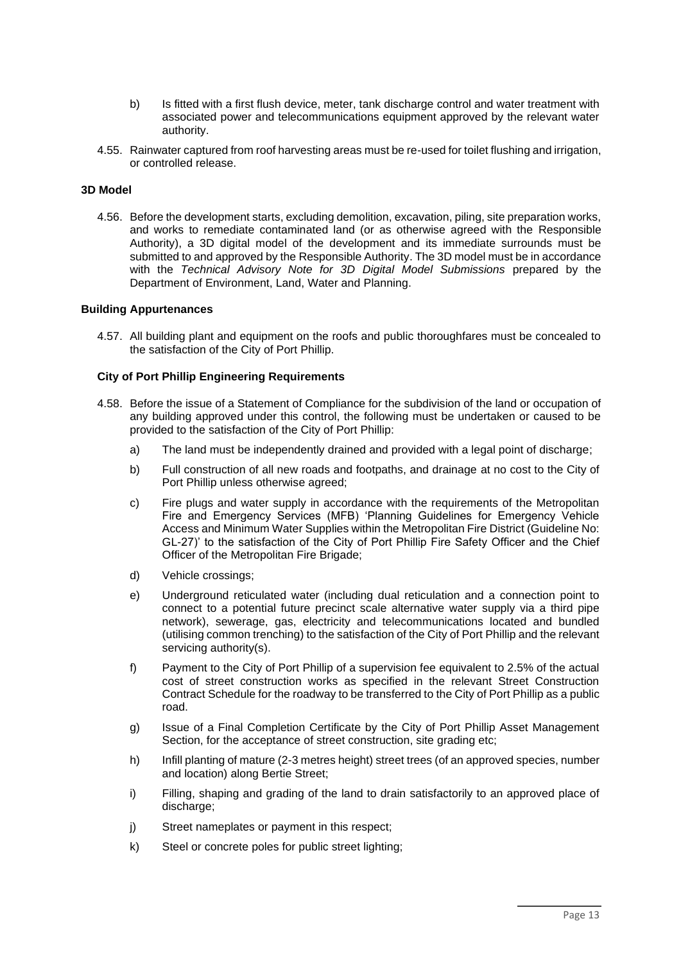- b) Is fitted with a first flush device, meter, tank discharge control and water treatment with associated power and telecommunications equipment approved by the relevant water authority.
- 4.55. Rainwater captured from roof harvesting areas must be re-used for toilet flushing and irrigation, or controlled release.

## **3D Model**

4.56. Before the development starts, excluding demolition, excavation, piling, site preparation works, and works to remediate contaminated land (or as otherwise agreed with the Responsible Authority), a 3D digital model of the development and its immediate surrounds must be submitted to and approved by the Responsible Authority. The 3D model must be in accordance with the *Technical Advisory Note for 3D Digital Model Submissions* prepared by the Department of Environment, Land, Water and Planning.

#### **Building Appurtenances**

4.57. All building plant and equipment on the roofs and public thoroughfares must be concealed to the satisfaction of the City of Port Phillip.

## **City of Port Phillip Engineering Requirements**

- 4.58. Before the issue of a Statement of Compliance for the subdivision of the land or occupation of any building approved under this control, the following must be undertaken or caused to be provided to the satisfaction of the City of Port Phillip:
	- a) The land must be independently drained and provided with a legal point of discharge;
	- b) Full construction of all new roads and footpaths, and drainage at no cost to the City of Port Phillip unless otherwise agreed;
	- c) Fire plugs and water supply in accordance with the requirements of the Metropolitan Fire and Emergency Services (MFB) 'Planning Guidelines for Emergency Vehicle Access and Minimum Water Supplies within the Metropolitan Fire District (Guideline No: GL-27)' to the satisfaction of the City of Port Phillip Fire Safety Officer and the Chief Officer of the Metropolitan Fire Brigade;
	- d) Vehicle crossings;
	- e) Underground reticulated water (including dual reticulation and a connection point to connect to a potential future precinct scale alternative water supply via a third pipe network), sewerage, gas, electricity and telecommunications located and bundled (utilising common trenching) to the satisfaction of the City of Port Phillip and the relevant servicing authority(s).
	- f) Payment to the City of Port Phillip of a supervision fee equivalent to 2.5% of the actual cost of street construction works as specified in the relevant Street Construction Contract Schedule for the roadway to be transferred to the City of Port Phillip as a public road.
	- g) Issue of a Final Completion Certificate by the City of Port Phillip Asset Management Section, for the acceptance of street construction, site grading etc;
	- h) Infill planting of mature (2-3 metres height) street trees (of an approved species, number and location) along Bertie Street;
	- i) Filling, shaping and grading of the land to drain satisfactorily to an approved place of discharge;
	- j) Street nameplates or payment in this respect;
	- k) Steel or concrete poles for public street lighting;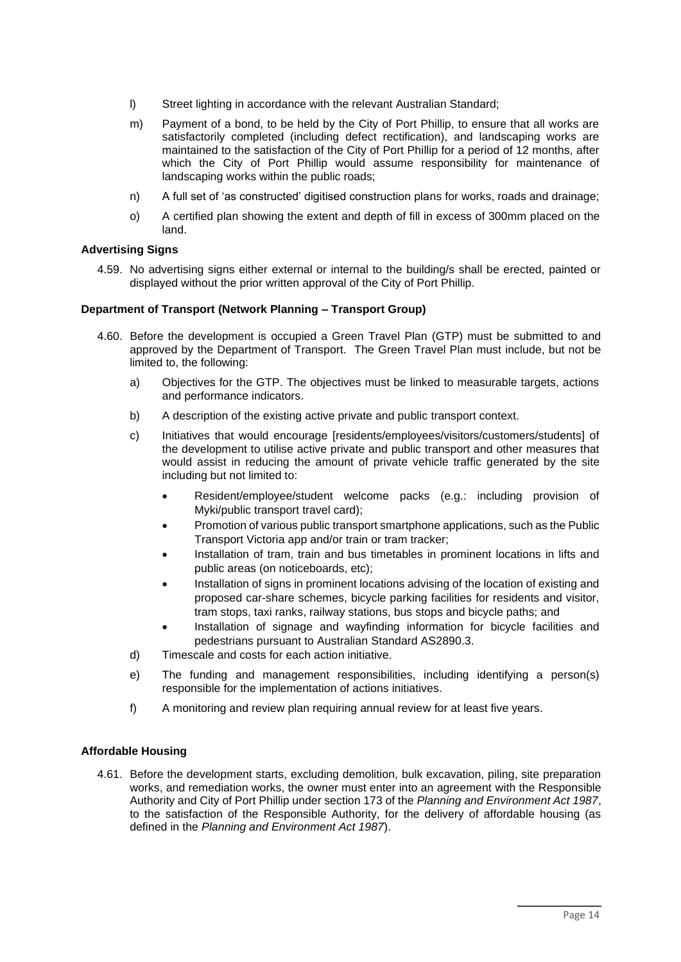- l) Street lighting in accordance with the relevant Australian Standard;
- m) Payment of a bond, to be held by the City of Port Phillip, to ensure that all works are satisfactorily completed (including defect rectification), and landscaping works are maintained to the satisfaction of the City of Port Phillip for a period of 12 months, after which the City of Port Phillip would assume responsibility for maintenance of landscaping works within the public roads;
- n) A full set of 'as constructed' digitised construction plans for works, roads and drainage;
- o) A certified plan showing the extent and depth of fill in excess of 300mm placed on the land.

# **Advertising Signs**

4.59. No advertising signs either external or internal to the building/s shall be erected, painted or displayed without the prior written approval of the City of Port Phillip.

## **Department of Transport (Network Planning – Transport Group)**

- 4.60. Before the development is occupied a Green Travel Plan (GTP) must be submitted to and approved by the Department of Transport. The Green Travel Plan must include, but not be limited to, the following:
	- a) Objectives for the GTP. The objectives must be linked to measurable targets, actions and performance indicators.
	- b) A description of the existing active private and public transport context.
	- c) Initiatives that would encourage [residents/employees/visitors/customers/students] of the development to utilise active private and public transport and other measures that would assist in reducing the amount of private vehicle traffic generated by the site including but not limited to:
		- Resident/employee/student welcome packs (e.g.: including provision of Myki/public transport travel card);
		- Promotion of various public transport smartphone applications, such as the Public Transport Victoria app and/or train or tram tracker;
		- Installation of tram, train and bus timetables in prominent locations in lifts and public areas (on noticeboards, etc);
		- Installation of signs in prominent locations advising of the location of existing and proposed car-share schemes, bicycle parking facilities for residents and visitor, tram stops, taxi ranks, railway stations, bus stops and bicycle paths; and
		- Installation of signage and wayfinding information for bicycle facilities and pedestrians pursuant to Australian Standard AS2890.3.
	- d) Timescale and costs for each action initiative.
	- e) The funding and management responsibilities, including identifying a person(s) responsible for the implementation of actions initiatives.
	- f) A monitoring and review plan requiring annual review for at least five years.

# **Affordable Housing**

4.61. Before the development starts, excluding demolition, bulk excavation, piling, site preparation works, and remediation works, the owner must enter into an agreement with the Responsible Authority and City of Port Phillip under section 173 of the *Planning and Environment Act 1987*, to the satisfaction of the Responsible Authority, for the delivery of affordable housing (as defined in the *Planning and Environment Act 1987*).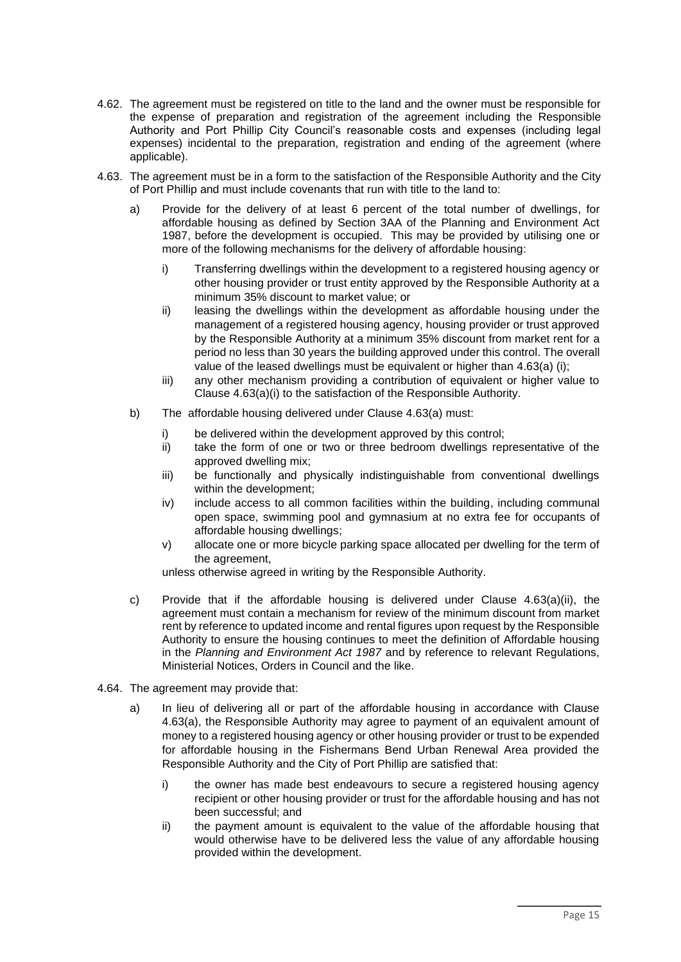- 4.62. The agreement must be registered on title to the land and the owner must be responsible for the expense of preparation and registration of the agreement including the Responsible Authority and Port Phillip City Council's reasonable costs and expenses (including legal expenses) incidental to the preparation, registration and ending of the agreement (where applicable).
- 4.63. The agreement must be in a form to the satisfaction of the Responsible Authority and the City of Port Phillip and must include covenants that run with title to the land to:
	- a) Provide for the delivery of at least 6 percent of the total number of dwellings, for affordable housing as defined by Section 3AA of the Planning and Environment Act 1987, before the development is occupied. This may be provided by utilising one or more of the following mechanisms for the delivery of affordable housing:
		- i) Transferring dwellings within the development to a registered housing agency or other housing provider or trust entity approved by the Responsible Authority at a minimum 35% discount to market value; or
		- ii) leasing the dwellings within the development as affordable housing under the management of a registered housing agency, housing provider or trust approved by the Responsible Authority at a minimum 35% discount from market rent for a period no less than 30 years the building approved under this control. The overall value of the leased dwellings must be equivalent or higher than 4.63(a) (i);
		- iii) any other mechanism providing a contribution of equivalent or higher value to Clause 4.63(a)(i) to the satisfaction of the Responsible Authority.
	- b) The affordable housing delivered under Clause 4.63(a) must:
		- i) be delivered within the development approved by this control;
		- ii) take the form of one or two or three bedroom dwellings representative of the approved dwelling mix;
		- iii) be functionally and physically indistinguishable from conventional dwellings within the development;
		- iv) include access to all common facilities within the building, including communal open space, swimming pool and gymnasium at no extra fee for occupants of affordable housing dwellings;
		- v) allocate one or more bicycle parking space allocated per dwelling for the term of the agreement,

unless otherwise agreed in writing by the Responsible Authority.

- c) Provide that if the affordable housing is delivered under Clause  $4.63(a)(ii)$ , the agreement must contain a mechanism for review of the minimum discount from market rent by reference to updated income and rental figures upon request by the Responsible Authority to ensure the housing continues to meet the definition of Affordable housing in the *Planning and Environment Act 1987* and by reference to relevant Regulations, Ministerial Notices, Orders in Council and the like.
- 4.64. The agreement may provide that:
	- a) In lieu of delivering all or part of the affordable housing in accordance with Clause 4.63(a), the Responsible Authority may agree to payment of an equivalent amount of money to a registered housing agency or other housing provider or trust to be expended for affordable housing in the Fishermans Bend Urban Renewal Area provided the Responsible Authority and the City of Port Phillip are satisfied that:
		- i) the owner has made best endeavours to secure a registered housing agency recipient or other housing provider or trust for the affordable housing and has not been successful; and
		- ii) the payment amount is equivalent to the value of the affordable housing that would otherwise have to be delivered less the value of any affordable housing provided within the development.